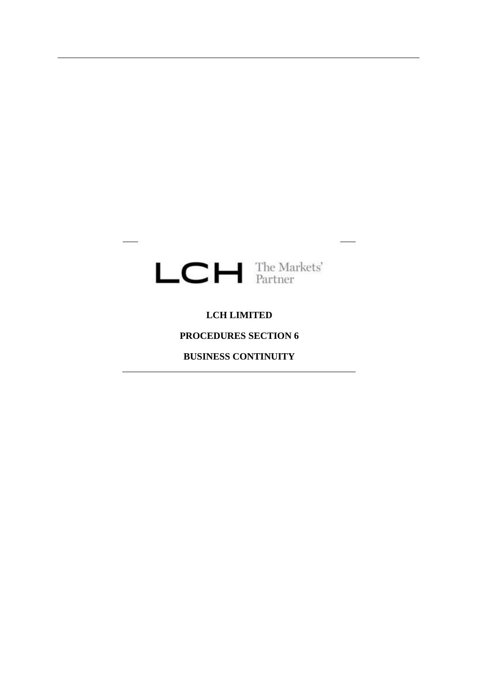# $LCH$  The Markets'

# **LCH LIMITED**

# **PROCEDURES SECTION 6**

**BUSINESS CONTINUITY**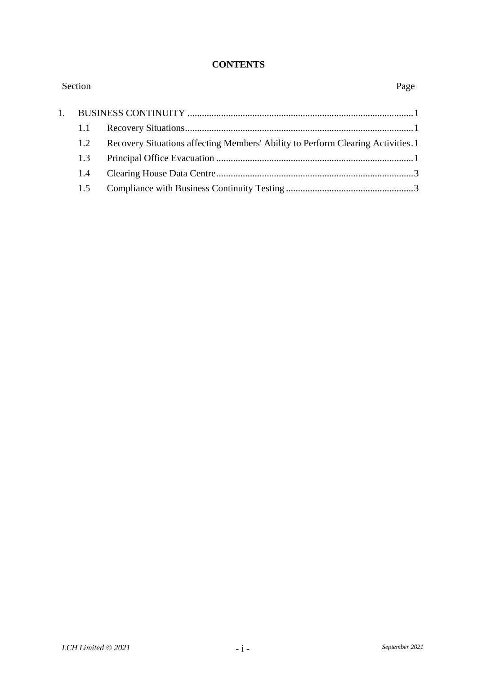### **CONTENTS**

| Section |     |                                                                                 | Page |
|---------|-----|---------------------------------------------------------------------------------|------|
| $1_{-}$ |     |                                                                                 |      |
|         | 1.1 |                                                                                 |      |
|         | 1.2 | Recovery Situations affecting Members' Ability to Perform Clearing Activities.1 |      |
|         | 1.3 |                                                                                 |      |
|         | 1.4 |                                                                                 |      |
|         | 1.5 |                                                                                 |      |
|         |     |                                                                                 |      |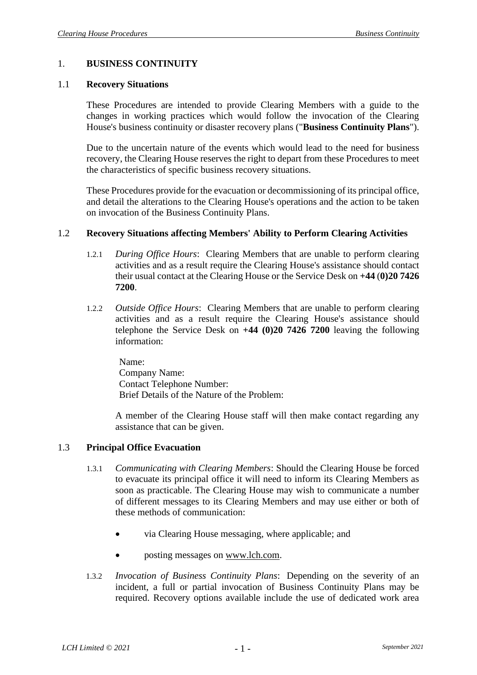## 1. **BUSINESS CONTINUITY**

#### 1.1 **Recovery Situations**

These Procedures are intended to provide Clearing Members with a guide to the changes in working practices which would follow the invocation of the Clearing House's business continuity or disaster recovery plans ("**Business Continuity Plans**").

Due to the uncertain nature of the events which would lead to the need for business recovery, the Clearing House reserves the right to depart from these Procedures to meet the characteristics of specific business recovery situations.

These Procedures provide for the evacuation or decommissioning of its principal office, and detail the alterations to the Clearing House's operations and the action to be taken on invocation of the Business Continuity Plans.

#### 1.2 **Recovery Situations affecting Members' Ability to Perform Clearing Activities**

- 1.2.1 *During Office Hours*: Clearing Members that are unable to perform clearing activities and as a result require the Clearing House's assistance should contact their usual contact at the Clearing House or the Service Desk on **+44** (**0)20 7426 7200**.
- 1.2.2 *Outside Office Hours*: Clearing Members that are unable to perform clearing activities and as a result require the Clearing House's assistance should telephone the Service Desk on **+44 (0)20 7426 7200** leaving the following information:

Name: Company Name: Contact Telephone Number: Brief Details of the Nature of the Problem:

A member of the Clearing House staff will then make contact regarding any assistance that can be given.

#### <span id="page-2-0"></span>1.3 **Principal Office Evacuation**

- 1.3.1 *Communicating with Clearing Members*: Should the Clearing House be forced to evacuate its principal office it will need to inform its Clearing Members as soon as practicable. The Clearing House may wish to communicate a number of different messages to its Clearing Members and may use either or both of these methods of communication:
	- via Clearing House messaging, where applicable; and
	- posting messages on [www.lch.com.](http://www.lch.com/)
- 1.3.2 *Invocation of Business Continuity Plans*: Depending on the severity of an incident, a full or partial invocation of Business Continuity Plans may be required. Recovery options available include the use of dedicated work area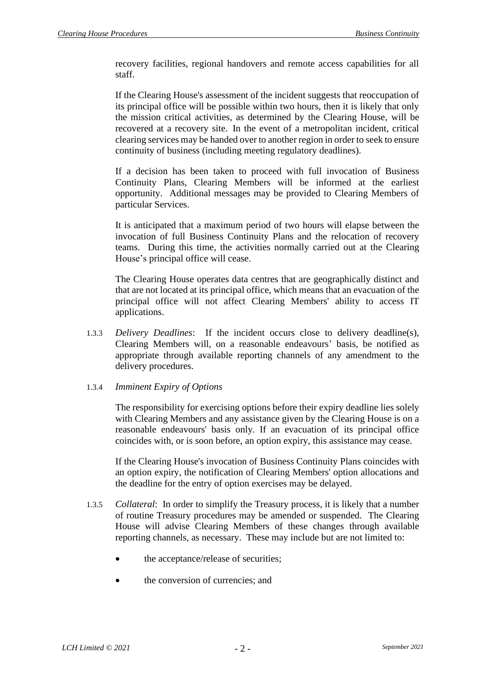recovery facilities, regional handovers and remote access capabilities for all staff.

If the Clearing House's assessment of the incident suggests that reoccupation of its principal office will be possible within two hours, then it is likely that only the mission critical activities, as determined by the Clearing House, will be recovered at a recovery site. In the event of a metropolitan incident, critical clearing services may be handed over to another region in order to seek to ensure continuity of business (including meeting regulatory deadlines).

If a decision has been taken to proceed with full invocation of Business Continuity Plans, Clearing Members will be informed at the earliest opportunity. Additional messages may be provided to Clearing Members of particular Services.

It is anticipated that a maximum period of two hours will elapse between the invocation of full Business Continuity Plans and the relocation of recovery teams. During this time, the activities normally carried out at the Clearing House's principal office will cease.

The Clearing House operates data centres that are geographically distinct and that are not located at its principal office, which means that an evacuation of the principal office will not affect Clearing Members' ability to access IT applications.

- 1.3.3 *Delivery Deadlines*: If the incident occurs close to delivery deadline(s), Clearing Members will, on a reasonable endeavours' basis, be notified as appropriate through available reporting channels of any amendment to the delivery procedures.
- 1.3.4 *Imminent Expiry of Options*

The responsibility for exercising options before their expiry deadline lies solely with Clearing Members and any assistance given by the Clearing House is on a reasonable endeavours' basis only. If an evacuation of its principal office coincides with, or is soon before, an option expiry, this assistance may cease.

If the Clearing House's invocation of Business Continuity Plans coincides with an option expiry, the notification of Clearing Members' option allocations and the deadline for the entry of option exercises may be delayed.

- 1.3.5 *Collateral*: In order to simplify the Treasury process, it is likely that a number of routine Treasury procedures may be amended or suspended. The Clearing House will advise Clearing Members of these changes through available reporting channels, as necessary. These may include but are not limited to:
	- the acceptance/release of securities;
	- the conversion of currencies; and